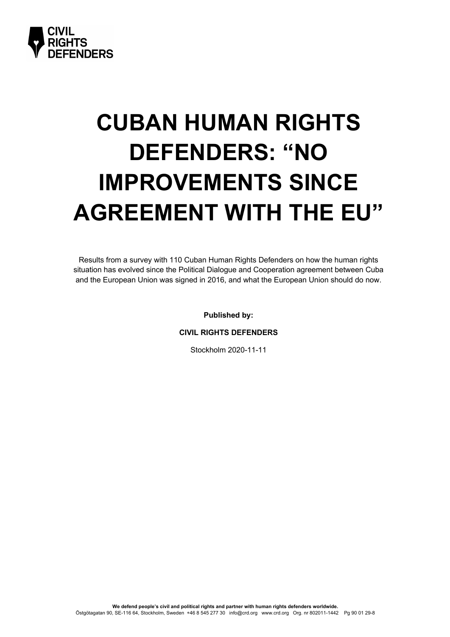

# **CUBAN HUMAN RIGHTS DEFENDERS: "NO IMPROVEMENTS SINCE AGREEMENT WITH THE EU"**

Results from a survey with 110 Cuban Human Rights Defenders on how the human rights situation has evolved since the Political Dialogue and Cooperation agreement between Cuba and the European Union was signed in 2016, and what the European Union should do now.

**Published by:**

**CIVIL RIGHTS DEFENDERS**

Stockholm 2020-11-11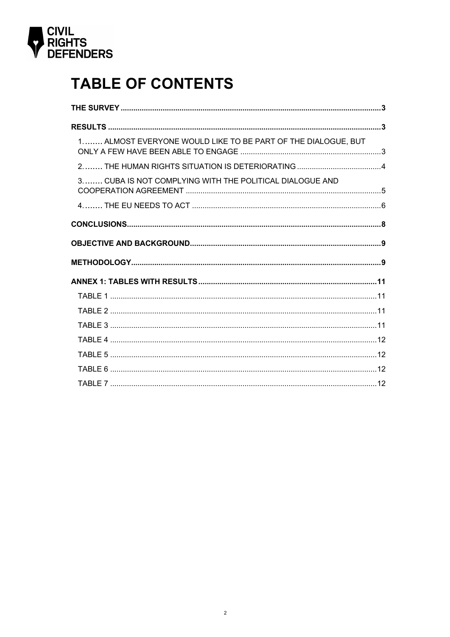

# **TABLE OF CONTENTS**

| 1 ALMOST EVERYONE WOULD LIKE TO BE PART OF THE DIALOGUE, BUT |  |
|--------------------------------------------------------------|--|
|                                                              |  |
| 3 CUBA IS NOT COMPLYING WITH THE POLITICAL DIALOGUE AND      |  |
|                                                              |  |
|                                                              |  |
|                                                              |  |
|                                                              |  |
|                                                              |  |
|                                                              |  |
|                                                              |  |
|                                                              |  |
|                                                              |  |
|                                                              |  |
|                                                              |  |
|                                                              |  |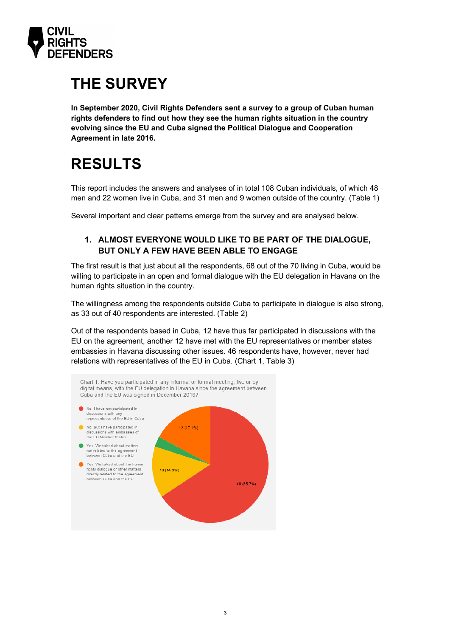

# **THE SURVEY**

**In September 2020, Civil Rights Defenders sent a survey to a group of Cuban human rights defenders to find out how they see the human rights situation in the country evolving since the EU and Cuba signed the Political Dialogue and Cooperation Agreement in late 2016.** 

# **RESULTS**

This report includes the answers and analyses of in total 108 Cuban individuals, of which 48 men and 22 women live in Cuba, and 31 men and 9 women outside of the country. (Table 1)

Several important and clear patterns emerge from the survey and are analysed below.

### **1. ALMOST EVERYONE WOULD LIKE TO BE PART OF THE DIALOGUE, BUT ONLY A FEW HAVE BEEN ABLE TO ENGAGE**

The first result is that just about all the respondents, 68 out of the 70 living in Cuba, would be willing to participate in an open and formal dialogue with the EU delegation in Havana on the human rights situation in the country.

The willingness among the respondents outside Cuba to participate in dialogue is also strong, as 33 out of 40 respondents are interested. (Table 2)

Out of the respondents based in Cuba, 12 have thus far participated in discussions with the EU on the agreement, another 12 have met with the EU representatives or member states embassies in Havana discussing other issues. 46 respondents have, however, never had relations with representatives of the EU in Cuba. (Chart 1, Table 3)

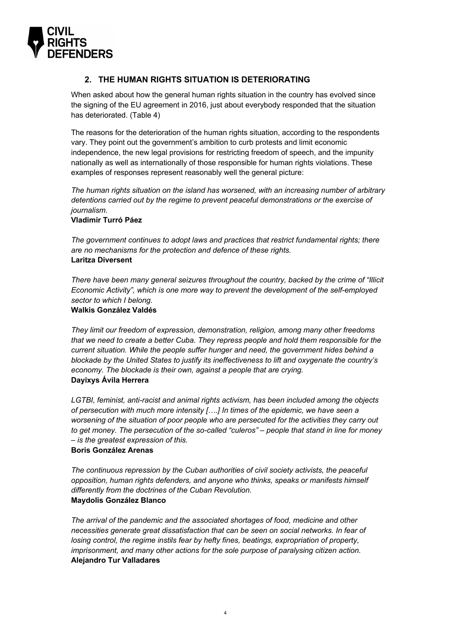

### **2. THE HUMAN RIGHTS SITUATION IS DETERIORATING**

When asked about how the general human rights situation in the country has evolved since the signing of the EU agreement in 2016, just about everybody responded that the situation has deteriorated. (Table 4)

The reasons for the deterioration of the human rights situation, according to the respondents vary. They point out the government's ambition to curb protests and limit economic independence, the new legal provisions for restricting freedom of speech, and the impunity nationally as well as internationally of those responsible for human rights violations. These examples of responses represent reasonably well the general picture:

*The human rights situation on the island has worsened, with an increasing number of arbitrary detentions carried out by the regime to prevent peaceful demonstrations or the exercise of journalism.*

#### **Vladimir Turró Páez**

*The government continues to adopt laws and practices that restrict fundamental rights; there are no mechanisms for the protection and defence of these rights.* **Laritza Diversent**

*There have been many general seizures throughout the country, backed by the crime of "Illicit Economic Activity", which is one more way to prevent the development of the self-employed sector to which I belong.*

#### **Walkis González Valdés**

*They limit our freedom of expression, demonstration, religion, among many other freedoms that we need to create a better Cuba. They repress people and hold them responsible for the current situation. While the people suffer hunger and need, the government hides behind a blockade by the United States to justify its ineffectiveness to lift and oxygenate the country's economy. The blockade is their own, against a people that are crying.* **Dayixys Ávila Herrera** 

*LGTBI, feminist, anti-racist and animal rights activism, has been included among the objects of persecution with much more intensity [….] In times of the epidemic, we have seen a worsening of the situation of poor people who are persecuted for the activities they carry out to get money. The persecution of the so-called "culeros" – people that stand in line for money – is the greatest expression of this.* 

#### **Boris González Arenas**

*The continuous repression by the Cuban authorities of civil society activists, the peaceful opposition, human rights defenders, and anyone who thinks, speaks or manifests himself differently from the doctrines of the Cuban Revolution.* **Maydolis González Blanco**

*The arrival of the pandemic and the associated shortages of food, medicine and other necessities generate great dissatisfaction that can be seen on social networks. In fear of losing control, the regime instils fear by hefty fines, beatings, expropriation of property, imprisonment, and many other actions for the sole purpose of paralysing citizen action.* **Alejandro Tur Valladares**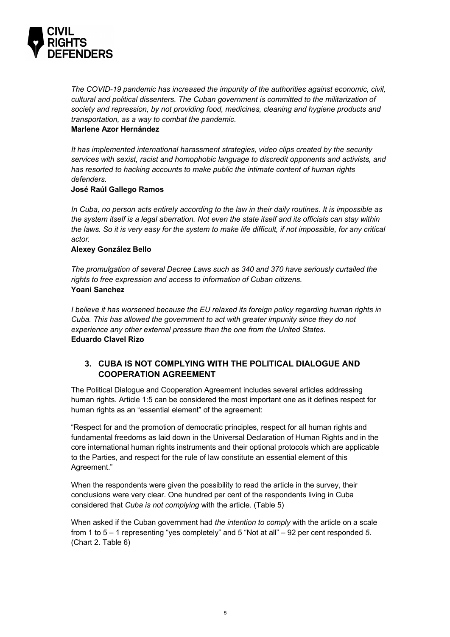

*The COVID-19 pandemic has increased the impunity of the authorities against economic, civil, cultural and political dissenters. The Cuban government is committed to the militarization of society and repression, by not providing food, medicines, cleaning and hygiene products and transportation, as a way to combat the pandemic.* 

#### **Marlene Azor Hernández**

*It has implemented international harassment strategies, video clips created by the security services with sexist, racist and homophobic language to discredit opponents and activists, and has resorted to hacking accounts to make public the intimate content of human rights defenders.* 

#### **José Raúl Gallego Ramos**

*In Cuba, no person acts entirely according to the law in their daily routines. It is impossible as the system itself is a legal aberration. Not even the state itself and its officials can stay within the laws. So it is very easy for the system to make life difficult, if not impossible, for any critical actor.*

#### **Alexey González Bello**

*The promulgation of several Decree Laws such as 340 and 370 have seriously curtailed the rights to free expression and access to information of Cuban citizens.* **Yoani Sanchez**

*I believe it has worsened because the EU relaxed its foreign policy regarding human rights in Cuba. This has allowed the government to act with greater impunity since they do not experience any other external pressure than the one from the United States.*  **Eduardo Clavel Rizo**

### **3. CUBA IS NOT COMPLYING WITH THE POLITICAL DIALOGUE AND COOPERATION AGREEMENT**

The Political Dialogue and Cooperation Agreement includes several articles addressing human rights. Article 1:5 can be considered the most important one as it defines respect for human rights as an "essential element" of the agreement:

"Respect for and the promotion of democratic principles, respect for all human rights and fundamental freedoms as laid down in the Universal Declaration of Human Rights and in the core international human rights instruments and their optional protocols which are applicable to the Parties, and respect for the rule of law constitute an essential element of this Agreement."

When the respondents were given the possibility to read the article in the survey, their conclusions were very clear. One hundred per cent of the respondents living in Cuba considered that *Cuba is not complying* with the article. (Table 5)

When asked if the Cuban government had *the intention to comply* with the article on a scale from 1 to 5 – 1 representing "yes completely" and 5 "Not at all" – 92 per cent responded *5*. (Chart 2. Table 6)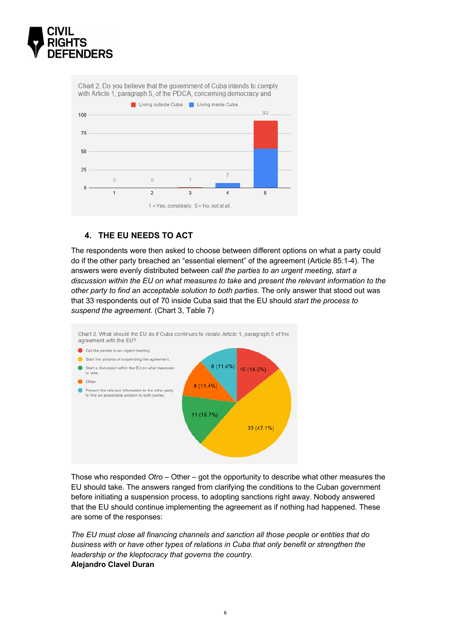

Chart 2. Do you believe that the government of Cuba intends to comply with Article 1, paragraph 5, of the PDCA, concerning democracy and



### **4. THE EU NEEDS TO ACT**

The respondents were then asked to choose between different options on what a party could do if the other party breached an "essential element" of the agreement (Article 85:1-4). The answers were evenly distributed between *call the parties to an urgent meeting*, *start a discussion within the EU on what measures to take* and *present the relevant information to the other party to find an acceptable solution to both parties*. The only answer that stood out was that 33 respondents out of 70 inside Cuba said that the EU should *start the process to suspend the agreement*. (Chart 3, Table 7)



Those who responded *Otro* – Other – got the opportunity to describe what other measures the EU should take. The answers ranged from clarifying the conditions to the Cuban government before initiating a suspension process, to adopting sanctions right away. Nobody answered that the EU should continue implementing the agreement as if nothing had happened. These are some of the responses:

*The EU must close all financing channels and sanction all those people or entities that do business with or have other types of relations in Cuba that only benefit or strengthen the leadership or the kleptocracy that governs the country.* **Alejandro Clavel Duran**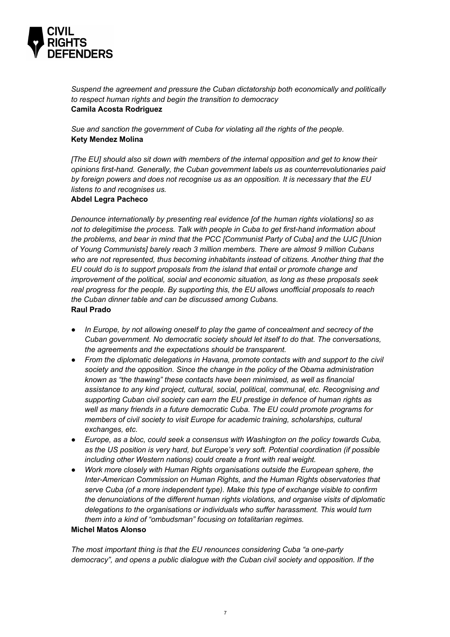

*Suspend the agreement and pressure the Cuban dictatorship both economically and politically to respect human rights and begin the transition to democracy* **Camila Acosta Rodriguez**

*Sue and sanction the government of Cuba for violating all the rights of the people.* **Kety Mendez Molina**

*[The EU] should also sit down with members of the internal opposition and get to know their opinions first-hand. Generally, the Cuban government labels us as counterrevolutionaries paid by foreign powers and does not recognise us as an opposition. It is necessary that the EU listens to and recognises us.*

#### **Abdel Legra Pacheco**

*Denounce internationally by presenting real evidence [of the human rights violations] so as not to delegitimise the process. Talk with people in Cuba to get first-hand information about the problems, and bear in mind that the PCC [Communist Party of Cuba] and the UJC [Union of Young Communists] barely reach 3 million members. There are almost 9 million Cubans who are not represented, thus becoming inhabitants instead of citizens. Another thing that the EU could do is to support proposals from the island that entail or promote change and improvement of the political, social and economic situation, as long as these proposals seek real progress for the people. By supporting this, the EU allows unofficial proposals to reach the Cuban dinner table and can be discussed among Cubans.* **Raul Prado**

- *In Europe, by not allowing oneself to play the game of concealment and secrecy of the Cuban government. No democratic society should let itself to do that. The conversations, the agreements and the expectations should be transparent.*
- *From the diplomatic delegations in Havana, promote contacts with and support to the civil society and the opposition. Since the change in the policy of the Obama administration known as "the thawing" these contacts have been minimised, as well as financial assistance to any kind project, cultural, social, political, communal, etc. Recognising and supporting Cuban civil society can earn the EU prestige in defence of human rights as well as many friends in a future democratic Cuba. The EU could promote programs for members of civil society to visit Europe for academic training, scholarships, cultural exchanges, etc.*
- *Europe, as a bloc, could seek a consensus with Washington on the policy towards Cuba, as the US position is very hard, but Europe's very soft. Potential coordination (if possible including other Western nations) could create a front with real weight.*
- *Work more closely with Human Rights organisations outside the European sphere, the Inter-American Commission on Human Rights, and the Human Rights observatories that serve Cuba (of a more independent type). Make this type of exchange visible to confirm the denunciations of the different human rights violations, and organise visits of diplomatic delegations to the organisations or individuals who suffer harassment. This would turn them into a kind of "ombudsman" focusing on totalitarian regimes.*

#### **Michel Matos Alonso**

*The most important thing is that the EU renounces considering Cuba "a one-party democracy", and opens a public dialogue with the Cuban civil society and opposition. If the*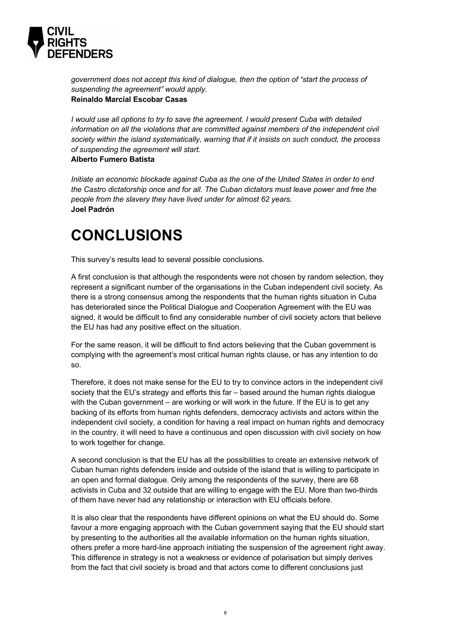

*government does not accept this kind of dialogue, then the option of "start the process of suspending the agreement" would apply.* **Reinaldo Marcial Escobar Casas**

*I would use all options to try to save the agreement. I would present Cuba with detailed information on all the violations that are committed against members of the independent civil society within the island systematically, warning that if it insists on such conduct, the process of suspending the agreement will start.*

#### **Alberto Fumero Batista**

*Initiate an economic blockade against Cuba as the one of the United States in order to end the Castro dictatorship once and for all. The Cuban dictators must leave power and free the people from the slavery they have lived under for almost 62 years.* **Joel Padrón**

# **CONCLUSIONS**

This survey's results lead to several possible conclusions.

A first conclusion is that although the respondents were not chosen by random selection, they represent a significant number of the organisations in the Cuban independent civil society. As there is a strong consensus among the respondents that the human rights situation in Cuba has deteriorated since the Political Dialogue and Cooperation Agreement with the EU was signed, it would be difficult to find any considerable number of civil society actors that believe the EU has had any positive effect on the situation.

For the same reason, it will be difficult to find actors believing that the Cuban government is complying with the agreement's most critical human rights clause, or has any intention to do so.

Therefore, it does not make sense for the EU to try to convince actors in the independent civil society that the EU's strategy and efforts this far – based around the human rights dialogue with the Cuban government – are working or will work in the future. If the EU is to get any backing of its efforts from human rights defenders, democracy activists and actors within the independent civil society, a condition for having a real impact on human rights and democracy in the country, it will need to have a continuous and open discussion with civil society on how to work together for change.

A second conclusion is that the EU has all the possibilities to create an extensive network of Cuban human rights defenders inside and outside of the island that is willing to participate in an open and formal dialogue. Only among the respondents of the survey, there are 68 activists in Cuba and 32 outside that are willing to engage with the EU. More than two-thirds of them have never had any relationship or interaction with EU officials before.

It is also clear that the respondents have different opinions on what the EU should do. Some favour a more engaging approach with the Cuban government saying that the EU should start by presenting to the authorities all the available information on the human rights situation, others prefer a more hard-line approach initiating the suspension of the agreement right away. This difference in strategy is not a weakness or evidence of polarisation but simply derives from the fact that civil society is broad and that actors come to different conclusions just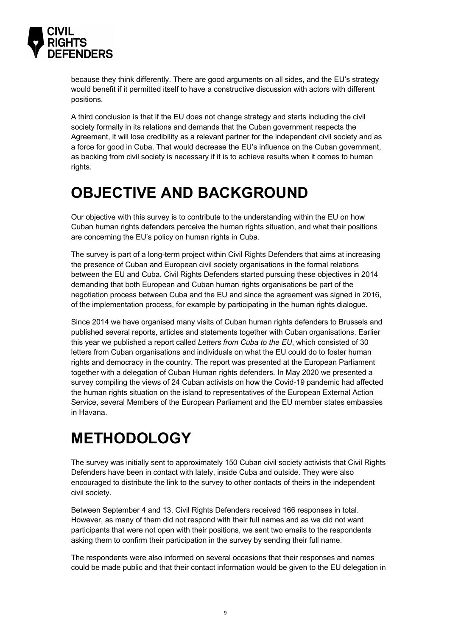

because they think differently. There are good arguments on all sides, and the EU's strategy would benefit if it permitted itself to have a constructive discussion with actors with different positions.

A third conclusion is that if the EU does not change strategy and starts including the civil society formally in its relations and demands that the Cuban government respects the Agreement, it will lose credibility as a relevant partner for the independent civil society and as a force for good in Cuba. That would decrease the EU's influence on the Cuban government, as backing from civil society is necessary if it is to achieve results when it comes to human rights.

# **OBJECTIVE AND BACKGROUND**

Our objective with this survey is to contribute to the understanding within the EU on how Cuban human rights defenders perceive the human rights situation, and what their positions are concerning the EU's policy on human rights in Cuba.

The survey is part of a long-term project within Civil Rights Defenders that aims at increasing the presence of Cuban and European civil society organisations in the formal relations between the EU and Cuba. Civil Rights Defenders started pursuing these objectives in 2014 demanding that both European and Cuban human rights organisations be part of the negotiation process between Cuba and the EU and since the agreement was signed in 2016, of the implementation process, for example by participating in the human rights dialogue.

Since 2014 we have organised many visits of Cuban human rights defenders to Brussels and published several reports, articles and statements together with Cuban organisations. Earlier this year we published a report called *Letters from Cuba to the EU*, which consisted of 30 letters from Cuban organisations and individuals on what the EU could do to foster human rights and democracy in the country. The report was presented at the European Parliament together with a delegation of Cuban Human rights defenders. In May 2020 we presented a survey compiling the views of 24 Cuban activists on how the Covid-19 pandemic had affected the human rights situation on the island to representatives of the European External Action Service, several Members of the European Parliament and the EU member states embassies in Havana.

# **METHODOLOGY**

The survey was initially sent to approximately 150 Cuban civil society activists that Civil Rights Defenders have been in contact with lately, inside Cuba and outside. They were also encouraged to distribute the link to the survey to other contacts of theirs in the independent civil society.

Between September 4 and 13, Civil Rights Defenders received 166 responses in total. However, as many of them did not respond with their full names and as we did not want participants that were not open with their positions, we sent two emails to the respondents asking them to confirm their participation in the survey by sending their full name.

The respondents were also informed on several occasions that their responses and names could be made public and that their contact information would be given to the EU delegation in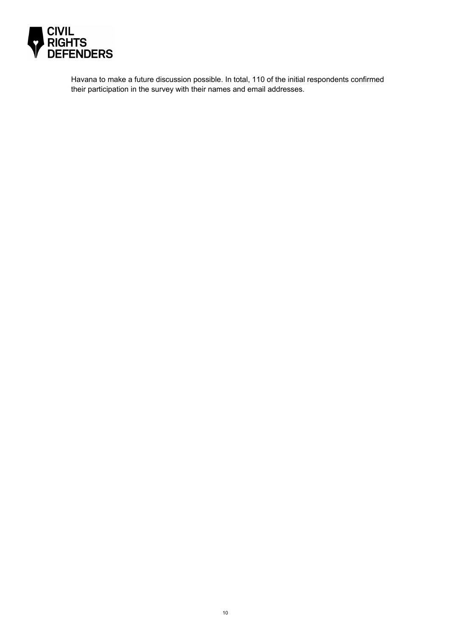

Havana to make a future discussion possible. In total, 110 of the initial respondents confirmed their participation in the survey with their names and email addresses.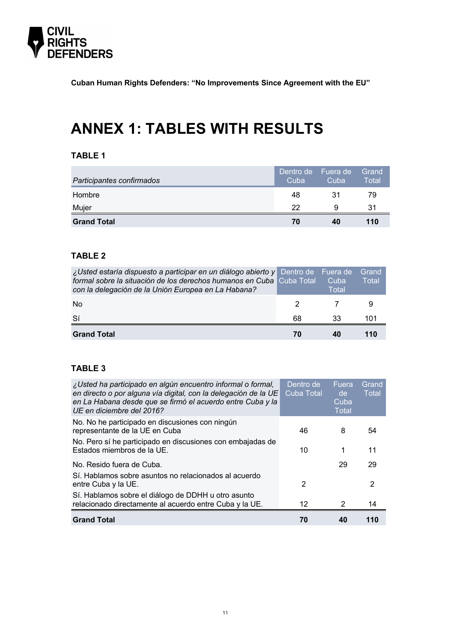

**Cuban Human Rights Defenders: "No Improvements Since Agreement with the EU"**

# **ANNEX 1: TABLES WITH RESULTS**

# **TABLE 1**

| Participantes confirmados | Dentro de<br>Cuba | Fuera de<br>Cuba | Grand<br>Total |
|---------------------------|-------------------|------------------|----------------|
| Hombre                    | 48                | 31               | 79             |
| Mujer                     | 22                | 9                | 31             |
| <b>Grand Total</b>        | 70                | 40               | 110            |

### **TABLE 2**

| <i>¿Usted estaría dispuesto a participar en un diálogo abierto y</i> Dentro de Fuera de<br>formal sobre la situación de los derechos humanos en Cuba Cuba Total<br>con la delegación de la Unión Europea en La Habana? |    | Cuba<br>Total | Grand<br>Total |
|------------------------------------------------------------------------------------------------------------------------------------------------------------------------------------------------------------------------|----|---------------|----------------|
| N <sub>0</sub>                                                                                                                                                                                                         |    |               |                |
| 'Sí                                                                                                                                                                                                                    | 68 | 33            | 101            |
| <b>Grand Total</b>                                                                                                                                                                                                     |    |               |                |

### **TABLE 3**

| ¿Usted ha participado en algún encuentro informal o formal,<br>en directo o por alguna vía digital, con la delegación de la UE<br>en La Habana desde que se firmó el acuerdo entre Cuba y la<br>UE en diciembre del 2016? | Dentro de<br><b>Cuba Total</b> | Fuera<br>de<br>Cuba<br><b>Total</b> | Grand<br>Total |
|---------------------------------------------------------------------------------------------------------------------------------------------------------------------------------------------------------------------------|--------------------------------|-------------------------------------|----------------|
| No. No he participado en discusiones con ningún<br>representante de la UE en Cuba                                                                                                                                         | 46                             | 8                                   | 54             |
| No. Pero sí he participado en discusiones con embajadas de<br>Estados miembros de la UE.                                                                                                                                  | 10                             | 1                                   | 11             |
| No. Resido fuera de Cuba.                                                                                                                                                                                                 |                                | 29                                  | 29             |
| Sí. Hablamos sobre asuntos no relacionados al acuerdo<br>entre Cuba y la UE.                                                                                                                                              | $\mathcal{P}$                  |                                     | 2              |
| Sí. Hablamos sobre el diálogo de DDHH u otro asunto<br>relacionado directamente al acuerdo entre Cuba y la UE.                                                                                                            | 12                             | 2                                   | 14             |
| <b>Grand Total</b>                                                                                                                                                                                                        | 70                             | 40                                  | 110            |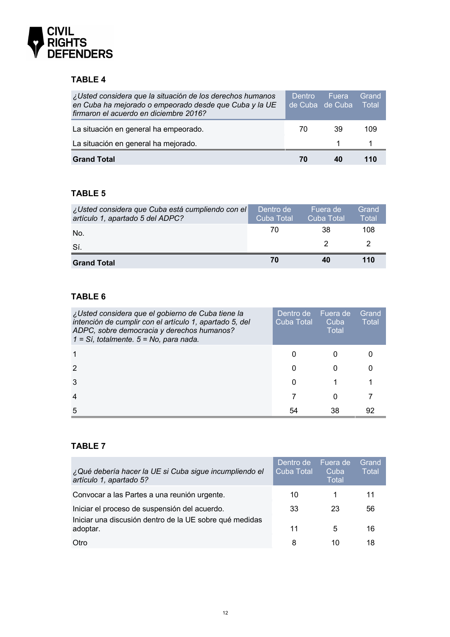

# **TABLE 4**

| ¿Usted considera que la situación de los derechos humanos<br>en Cuba ha mejorado o empeorado desde que Cuba y la UE<br>firmaron el acuerdo en diciembre 2016? | Dentro | <b>Fuera</b><br>de Cuba de Cuba | Grand<br>⊟ Total |
|---------------------------------------------------------------------------------------------------------------------------------------------------------------|--------|---------------------------------|------------------|
| La situación en general ha empeorado.                                                                                                                         | 70     | 39                              | 109              |
| La situación en general ha mejorado.                                                                                                                          |        |                                 |                  |
| <b>Grand Total</b>                                                                                                                                            |        |                                 |                  |

## **TABLE 5**

| ¿Usted considera que Cuba está cumpliendo con el<br>artículo 1, apartado 5 del ADPC? | Dentro de<br>Cuba Total | iFuera de '<br>Cuba Total | Grand<br>Total |
|--------------------------------------------------------------------------------------|-------------------------|---------------------------|----------------|
| No.                                                                                  | 70                      | 38                        | 108            |
| Sí.                                                                                  |                         |                           |                |
| <b>Grand Total</b>                                                                   | 70                      | 40                        | 110            |

# **TABLE 6**

| ¿Usted considera que el gobierno de Cuba tiene la<br>intención de cumplir con el artículo 1, apartado 5, del<br>ADPC, sobre democracia y derechos humanos?<br>$1 = Si$ , totalmente. $5 = No$ , para nada. | Dentro de<br><b>Cuba Total</b> | Fuera de<br>Cuba<br>Total | Grand<br><b>Total</b> |
|------------------------------------------------------------------------------------------------------------------------------------------------------------------------------------------------------------|--------------------------------|---------------------------|-----------------------|
|                                                                                                                                                                                                            | $\mathbf{C}$                   |                           |                       |
| 2                                                                                                                                                                                                          | 0                              |                           |                       |
| 3                                                                                                                                                                                                          | 0                              |                           |                       |
| $\overline{4}$                                                                                                                                                                                             |                                |                           |                       |
| 5                                                                                                                                                                                                          | 54                             | 38                        | 92                    |

# **TABLE 7**

| ¿Qué debería hacer la UE si Cuba sigue incumpliendo el<br>artículo 1, apartado 5?                        | Dentro de<br><b>Cuba Total</b> | Fuera de<br>Cuba<br><b>Total</b> | Grand<br><b>Total</b> |
|----------------------------------------------------------------------------------------------------------|--------------------------------|----------------------------------|-----------------------|
| Convocar a las Partes a una reunión urgente.                                                             | 10                             |                                  |                       |
| Iniciar el proceso de suspensión del acuerdo.<br>Iniciar una discusión dentro de la UE sobre qué medidas | 33                             | 23                               | 56                    |
| adoptar.                                                                                                 | 11                             | 5                                | 16                    |
| Otro                                                                                                     | 8                              | 10                               | 18                    |